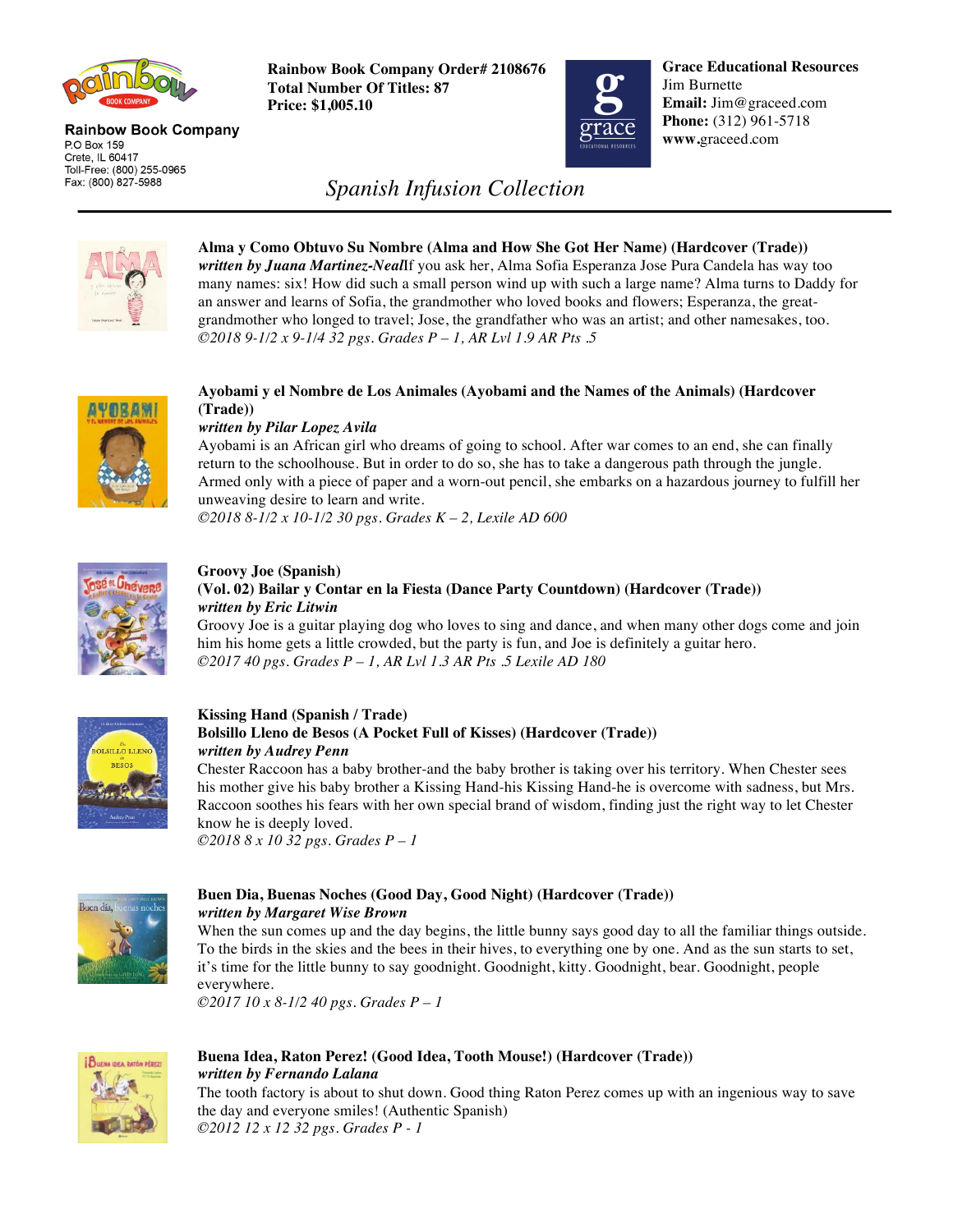

#### **Rainbow Book Company** P.O Box 159 Crete, IL 60417 Toll-Free: (800) 255-0965 Fax: (800) 827-5988

**Rainbow Book Company Order# 2108676 Total Number Of Titles: 87 Price: \$1,005.10**



**Grace Educational Resources** Jim Burnette **Email:** Jim@graceed.com **Phone:** (312) 961-5718 **www.**graceed.com

# *Spanish Infusion Collection*



**Alma y Como Obtuvo Su Nombre (Alma and How She Got Her Name) (Hardcover (Trade))** *written by Juana Martinez-Neal*If you ask her, Alma Sofia Esperanza Jose Pura Candela has way too many names: six! How did such a small person wind up with such a large name? Alma turns to Daddy for an answer and learns of Sofia, the grandmother who loved books and flowers; Esperanza, the greatgrandmother who longed to travel; Jose, the grandfather who was an artist; and other namesakes, too. *©2018 9-1/2 x 9-1/4 32 pgs. Grades P – 1, AR Lvl 1.9 AR Pts .5* 



#### **Ayobami y el Nombre de Los Animales (Ayobami and the Names of the Animals) (Hardcover (Trade))**

## *written by Pilar Lopez Avila*

Ayobami is an African girl who dreams of going to school. After war comes to an end, she can finally return to the schoolhouse. But in order to do so, she has to take a dangerous path through the jungle. Armed only with a piece of paper and a worn-out pencil, she embarks on a hazardous journey to fulfill her unweaving desire to learn and write.

*©2018 8-1/2 x 10-1/2 30 pgs. Grades K – 2, Lexile AD 600* 



## **Groovy Joe (Spanish) (Vol. 02) Bailar y Contar en la Fiesta (Dance Party Countdown) (Hardcover (Trade))** *written by Eric Litwin*

Groovy Joe is a guitar playing dog who loves to sing and dance, and when many other dogs come and join him his home gets a little crowded, but the party is fun, and Joe is definitely a guitar hero. *©2017 40 pgs. Grades P – 1, AR Lvl 1.3 AR Pts .5 Lexile AD 180* 



### **Kissing Hand (Spanish / Trade) Bolsillo Lleno de Besos (A Pocket Full of Kisses) (Hardcover (Trade))** *written by Audrey Penn*

Chester Raccoon has a baby brother-and the baby brother is taking over his territory. When Chester sees his mother give his baby brother a Kissing Hand-his Kissing Hand-he is overcome with sadness, but Mrs. Raccoon soothes his fears with her own special brand of wisdom, finding just the right way to let Chester know he is deeply loved.

*©2018 8 x 10 32 pgs. Grades P – 1*



#### **Buen Dia, Buenas Noches (Good Day, Good Night) (Hardcover (Trade))** *written by Margaret Wise Brown*

When the sun comes up and the day begins, the little bunny says good day to all the familiar things outside. To the birds in the skies and the bees in their hives, to everything one by one. And as the sun starts to set, it's time for the little bunny to say goodnight. Goodnight, kitty. Goodnight, bear. Goodnight, people everywhere.

*©2017 10 x 8-1/2 40 pgs. Grades P – 1*



## **Buena Idea, Raton Perez! (Good Idea, Tooth Mouse!) (Hardcover (Trade))**  *written by Fernando Lalana*

The tooth factory is about to shut down. Good thing Raton Perez comes up with an ingenious way to save the day and everyone smiles! (Authentic Spanish) *©2012 12 x 12 32 pgs. Grades P - 1*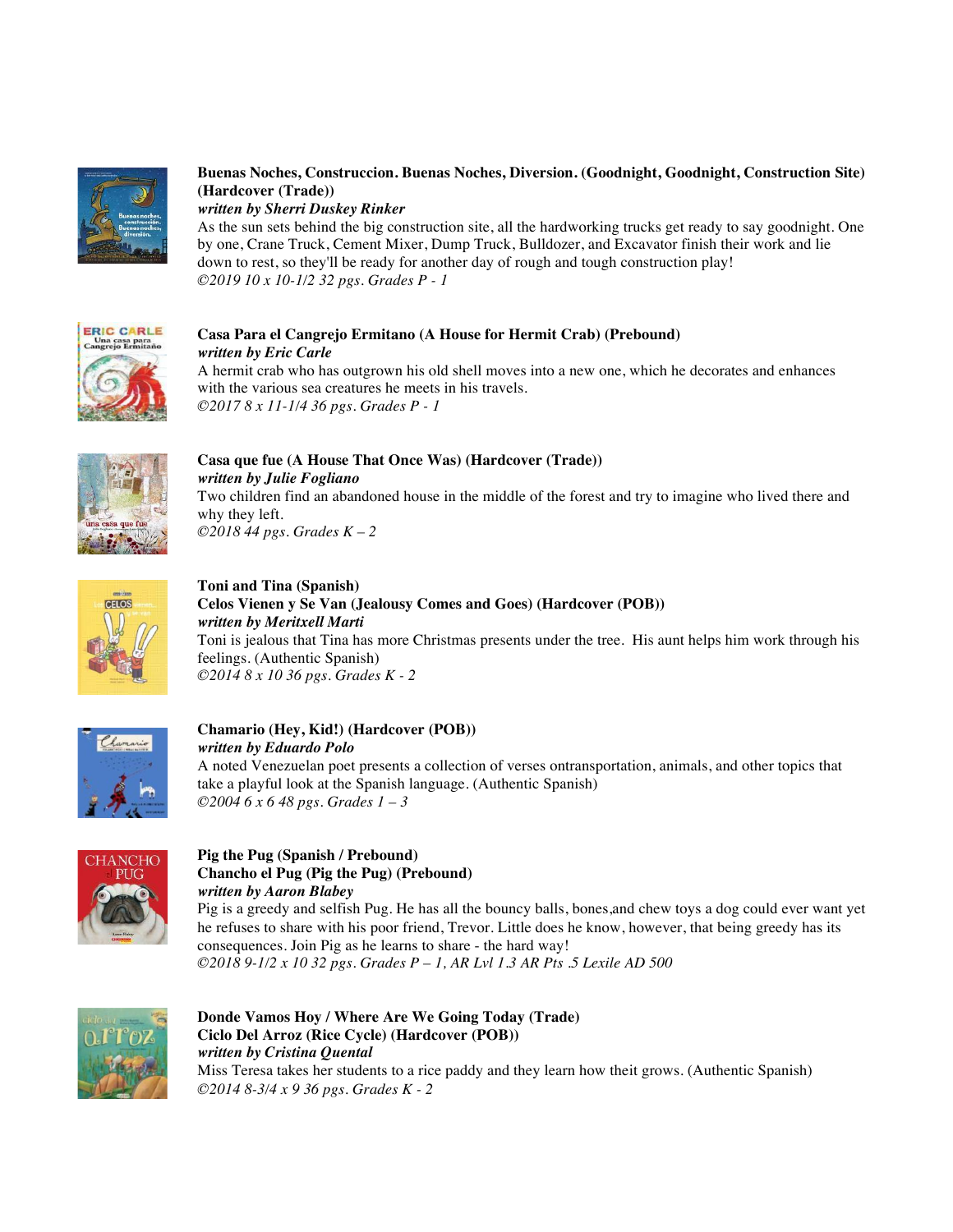

## **Buenas Noches, Construccion. Buenas Noches, Diversion. (Goodnight, Goodnight, Construction Site) (Hardcover (Trade))**

*written by Sherri Duskey Rinker* 

As the sun sets behind the big construction site, all the hardworking trucks get ready to say goodnight. One by one, Crane Truck, Cement Mixer, Dump Truck, Bulldozer, and Excavator finish their work and lie down to rest, so they'll be ready for another day of rough and tough construction play! *©2019 10 x 10-1/2 32 pgs. Grades P - 1*



#### **Casa Para el Cangrejo Ermitano (A House for Hermit Crab) (Prebound)** *written by Eric Carle*

A hermit crab who has outgrown his old shell moves into a new one, which he decorates and enhances with the various sea creatures he meets in his travels. *©2017 8 x 11-1/4 36 pgs. Grades P - 1*



## **Casa que fue (A House That Once Was) (Hardcover (Trade))** *written by Julie Fogliano* Two children find an abandoned house in the middle of the forest and try to imagine who lived there and why they left.

*©2018 44 pgs. Grades K – 2*



**Toni and Tina (Spanish) Celos Vienen y Se Van (Jealousy Comes and Goes) (Hardcover (POB))** *written by Meritxell Marti* Toni is jealous that Tina has more Christmas presents under the tree. His aunt helps him work through his feelings. (Authentic Spanish) *©2014 8 x 10 36 pgs. Grades K - 2*



#### **Chamario (Hey, Kid!) (Hardcover (POB))**  *written by Eduardo Polo*

A noted Venezuelan poet presents a collection of verses ontransportation, animals, and other topics that take a playful look at the Spanish language. (Authentic Spanish) *©2004 6 x 6 48 pgs. Grades 1 – 3*



## **Pig the Pug (Spanish / Prebound) Chancho el Pug (Pig the Pug) (Prebound)**  *written by Aaron Blabey*

Pig is a greedy and selfish Pug. He has all the bouncy balls, bones,and chew toys a dog could ever want yet he refuses to share with his poor friend, Trevor. Little does he know, however, that being greedy has its consequences. Join Pig as he learns to share - the hard way! *©2018 9-1/2 x 10 32 pgs. Grades P – 1, AR Lvl 1.3 AR Pts .5 Lexile AD 500* 



#### **Donde Vamos Hoy / Where Are We Going Today (Trade) Ciclo Del Arroz (Rice Cycle) (Hardcover (POB))** *written by Cristina Quental* Miss Teresa takes her students to a rice paddy and they learn how theit grows. (Authentic Spanish) *©2014 8-3/4 x 9 36 pgs. Grades K - 2*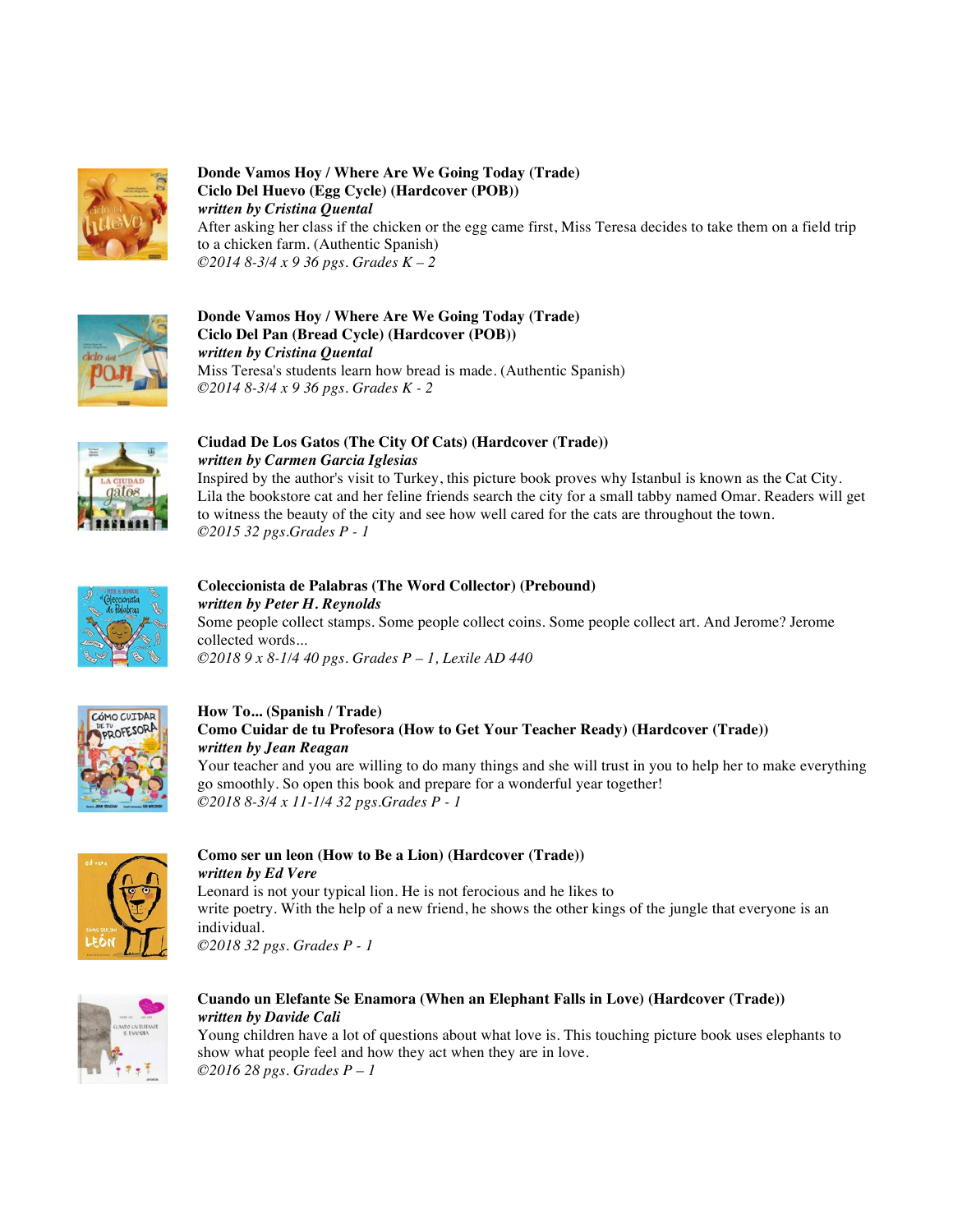

**Donde Vamos Hoy / Where Are We Going Today (Trade) Ciclo Del Huevo (Egg Cycle) (Hardcover (POB))** *written by Cristina Quental*  After asking her class if the chicken or the egg came first, Miss Teresa decides to take them on a field trip to a chicken farm. (Authentic Spanish) *©2014 8-3/4 x 9 36 pgs. Grades K – 2*



**Donde Vamos Hoy / Where Are We Going Today (Trade) Ciclo Del Pan (Bread Cycle) (Hardcover (POB))**  *written by Cristina Quental* Miss Teresa's students learn how bread is made. (Authentic Spanish) *©2014 8-3/4 x 9 36 pgs. Grades K - 2*



# **Ciudad De Los Gatos (The City Of Cats) (Hardcover (Trade))** *written by Carmen Garcia Iglesias*

Inspired by the author's visit to Turkey, this picture book proves why Istanbul is known as the Cat City. Lila the bookstore cat and her feline friends search the city for a small tabby named Omar. Readers will get to witness the beauty of the city and see how well cared for the cats are throughout the town. *©2015 32 pgs.Grades P - 1* 



## **Coleccionista de Palabras (The Word Collector) (Prebound)** *written by Peter H. Reynolds* Some people collect stamps. Some people collect coins. Some people collect art. And Jerome? Jerome collected words...

*©2018 9 x 8-1/4 40 pgs. Grades P – 1, Lexile AD 440* 



## **How To... (Spanish / Trade) Como Cuidar de tu Profesora (How to Get Your Teacher Ready) (Hardcover (Trade))** *written by Jean Reagan*

Your teacher and you are willing to do many things and she will trust in you to help her to make everything go smoothly. So open this book and prepare for a wonderful year together! *©2018 8-3/4 x 11-1/4 32 pgs.Grades P - 1* 



## **Como ser un leon (How to Be a Lion) (Hardcover (Trade))** *written by Ed Vere* Leonard is not your typical lion. He is not ferocious and he likes to write poetry. With the help of a new friend, he shows the other kings of the jungle that everyone is an individual. *©2018 32 pgs. Grades P - 1*



## **Cuando un Elefante Se Enamora (When an Elephant Falls in Love) (Hardcover (Trade))** *written by Davide Cali*

Young children have a lot of questions about what love is. This touching picture book uses elephants to show what people feel and how they act when they are in love. *©2016 28 pgs. Grades P – 1*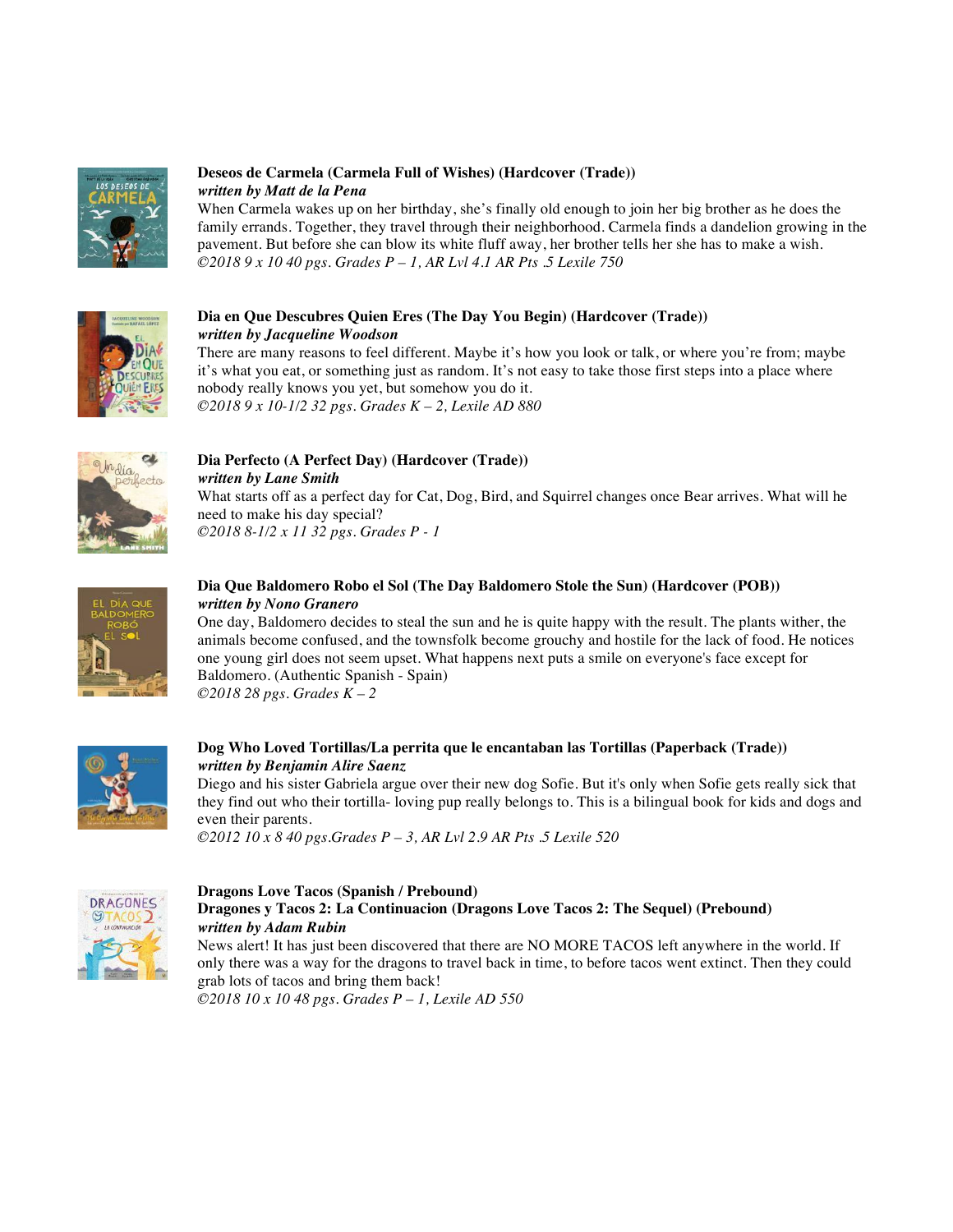

## **Deseos de Carmela (Carmela Full of Wishes) (Hardcover (Trade))** *written by Matt de la Pena*

When Carmela wakes up on her birthday, she's finally old enough to join her big brother as he does the family errands. Together, they travel through their neighborhood. Carmela finds a dandelion growing in the pavement. But before she can blow its white fluff away, her brother tells her she has to make a wish. *©2018 9 x 10 40 pgs. Grades P – 1, AR Lvl 4.1 AR Pts .5 Lexile 750* 



## **Dia en Que Descubres Quien Eres (The Day You Begin) (Hardcover (Trade))** *written by Jacqueline Woodson*

There are many reasons to feel different. Maybe it's how you look or talk, or where you're from; maybe it's what you eat, or something just as random. It's not easy to take those first steps into a place where nobody really knows you yet, but somehow you do it. *©2018 9 x 10-1/2 32 pgs. Grades K – 2, Lexile AD 880* 



## **Dia Perfecto (A Perfect Day) (Hardcover (Trade))**  *written by Lane Smith*

What starts off as a perfect day for Cat, Dog, Bird, and Squirrel changes once Bear arrives. What will he need to make his day special? *©2018 8-1/2 x 11 32 pgs. Grades P - 1*



## **Dia Que Baldomero Robo el Sol (The Day Baldomero Stole the Sun) (Hardcover (POB))** *written by Nono Granero*

One day, Baldomero decides to steal the sun and he is quite happy with the result. The plants wither, the animals become confused, and the townsfolk become grouchy and hostile for the lack of food. He notices one young girl does not seem upset. What happens next puts a smile on everyone's face except for Baldomero. (Authentic Spanish - Spain) *©2018 28 pgs. Grades K – 2*



## **Dog Who Loved Tortillas/La perrita que le encantaban las Tortillas (Paperback (Trade))** *written by Benjamin Alire Saenz*

Diego and his sister Gabriela argue over their new dog Sofie. But it's only when Sofie gets really sick that they find out who their tortilla- loving pup really belongs to. This is a bilingual book for kids and dogs and even their parents.

*©2012 10 x 8 40 pgs.Grades P – 3, AR Lvl 2.9 AR Pts .5 Lexile 520* 



## **Dragons Love Tacos (Spanish / Prebound) Dragones y Tacos 2: La Continuacion (Dragons Love Tacos 2: The Sequel) (Prebound)** *written by Adam Rubin*

News alert! It has just been discovered that there are NO MORE TACOS left anywhere in the world. If only there was a way for the dragons to travel back in time, to before tacos went extinct. Then they could grab lots of tacos and bring them back!

*©2018 10 x 10 48 pgs. Grades P – 1, Lexile AD 550*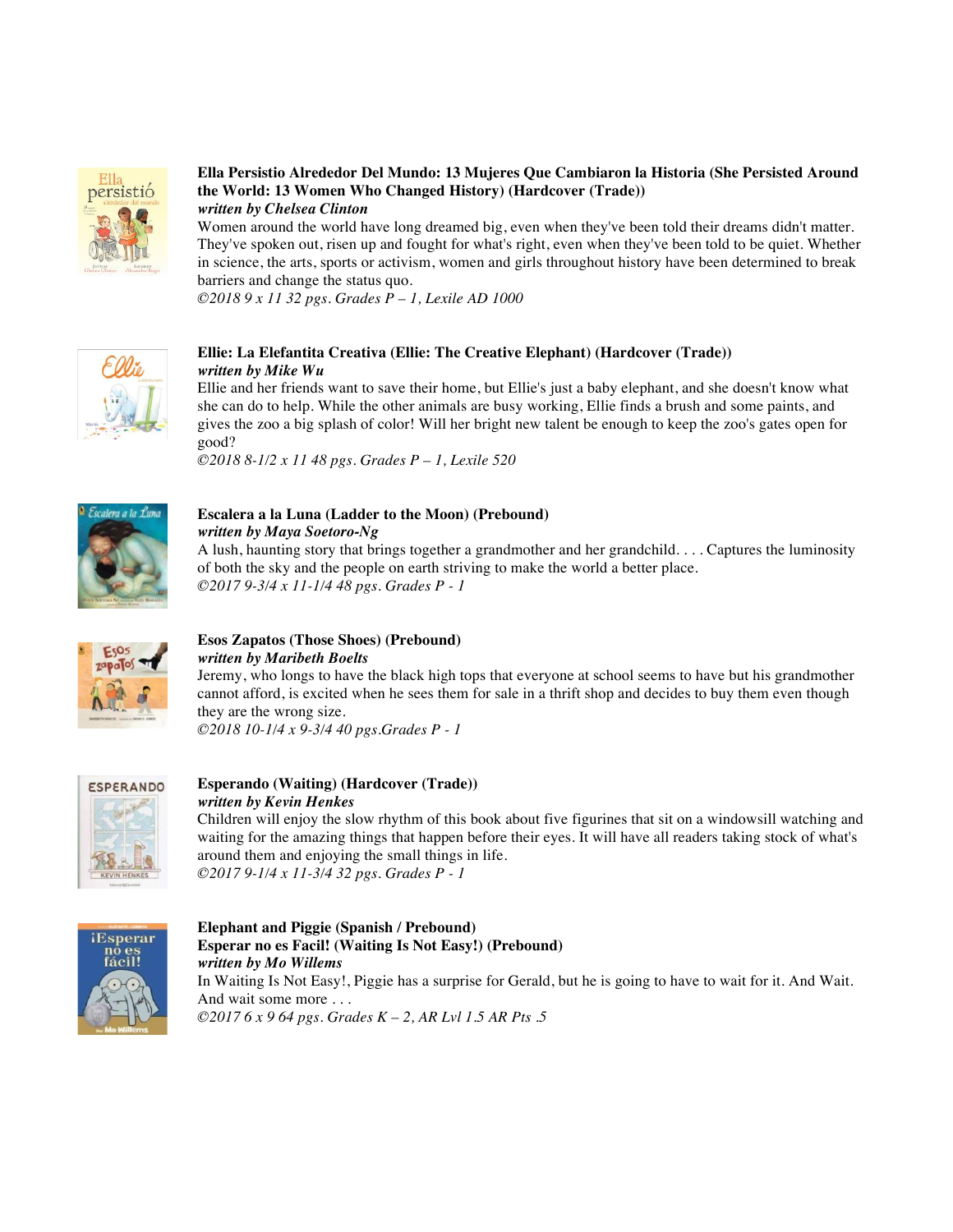

## **Ella Persistio Alrededor Del Mundo: 13 Mujeres Que Cambiaron la Historia (She Persisted Around the World: 13 Women Who Changed History) (Hardcover (Trade))**

*written by Chelsea Clinton* 

Women around the world have long dreamed big, even when they've been told their dreams didn't matter. They've spoken out, risen up and fought for what's right, even when they've been told to be quiet. Whether in science, the arts, sports or activism, women and girls throughout history have been determined to break barriers and change the status quo.

*©2018 9 x 11 32 pgs. Grades P – 1, Lexile AD 1000* 



## **Ellie: La Elefantita Creativa (Ellie: The Creative Elephant) (Hardcover (Trade))** *written by Mike Wu*

Ellie and her friends want to save their home, but Ellie's just a baby elephant, and she doesn't know what she can do to help. While the other animals are busy working, Ellie finds a brush and some paints, and gives the zoo a big splash of color! Will her bright new talent be enough to keep the zoo's gates open for good?

*©2018 8-1/2 x 11 48 pgs. Grades P – 1, Lexile 520* 



## **Escalera a la Luna (Ladder to the Moon) (Prebound)** *written by Maya Soetoro-Ng*

A lush, haunting story that brings together a grandmother and her grandchild. . . . Captures the luminosity of both the sky and the people on earth striving to make the world a better place. *©2017 9-3/4 x 11-1/4 48 pgs. Grades P - 1* 



## **Esos Zapatos (Those Shoes) (Prebound)**  *written by Maribeth Boelts*

Jeremy, who longs to have the black high tops that everyone at school seems to have but his grandmother cannot afford, is excited when he sees them for sale in a thrift shop and decides to buy them even though they are the wrong size.

*©2018 10-1/4 x 9-3/4 40 pgs.Grades P - 1* 



## **Esperando (Waiting) (Hardcover (Trade))**  *written by Kevin Henkes*

Children will enjoy the slow rhythm of this book about five figurines that sit on a windowsill watching and waiting for the amazing things that happen before their eyes. It will have all readers taking stock of what's around them and enjoying the small things in life. *©2017 9-1/4 x 11-3/4 32 pgs. Grades P - 1*



## **Elephant and Piggie (Spanish / Prebound) Esperar no es Facil! (Waiting Is Not Easy!) (Prebound)** *written by Mo Willems* In Waiting Is Not Easy!, Piggie has a surprise for Gerald, but he is going to have to wait for it. And Wait. And wait some more . . .

*©2017 6 x 9 64 pgs. Grades K – 2, AR Lvl 1.5 AR Pts .5*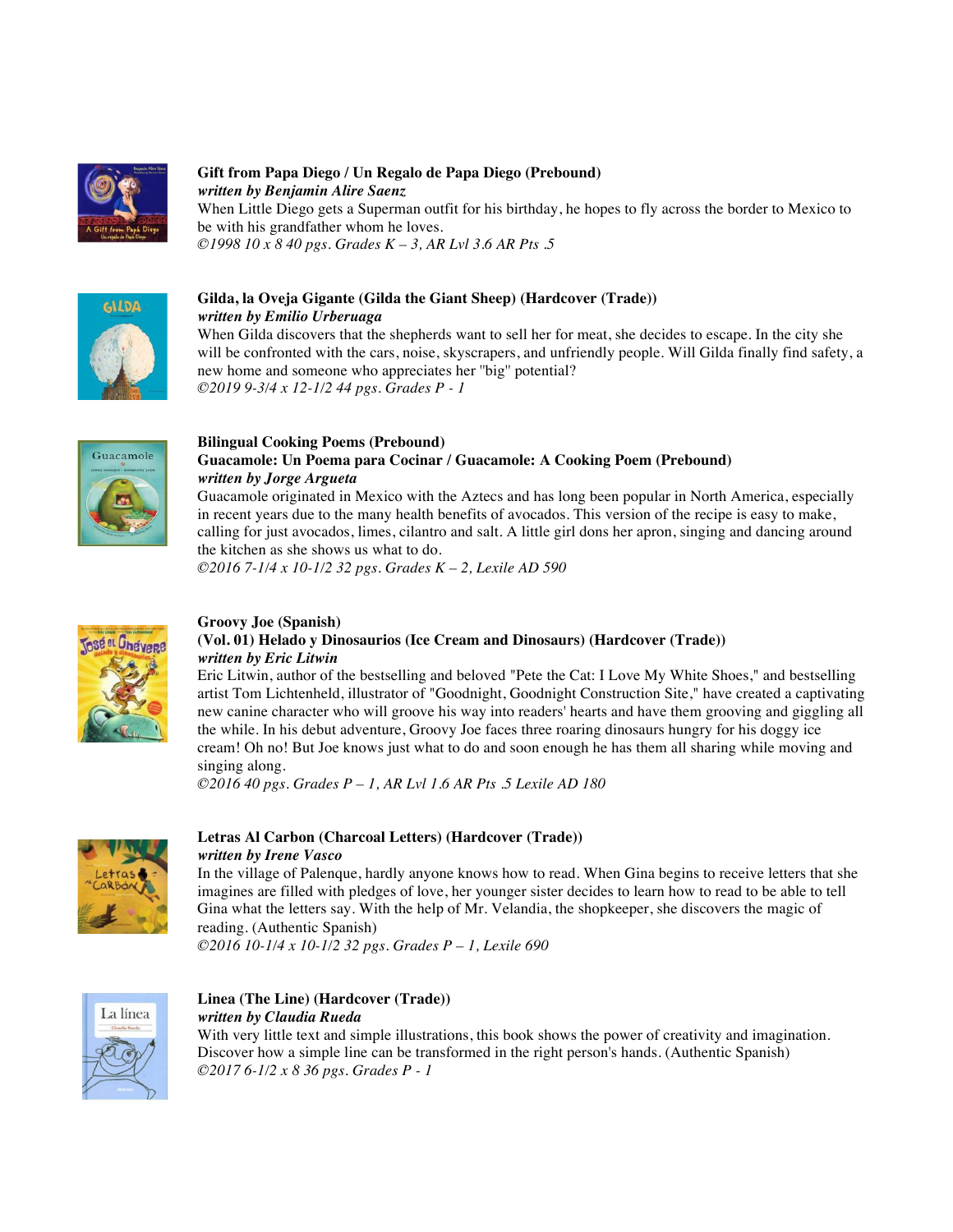

### **Gift from Papa Diego / Un Regalo de Papa Diego (Prebound)** *written by Benjamin Alire Saenz*

When Little Diego gets a Superman outfit for his birthday, he hopes to fly across the border to Mexico to be with his grandfather whom he loves. *©1998 10 x 8 40 pgs. Grades K – 3, AR Lvl 3.6 AR Pts .5* 



## **Gilda, la Oveja Gigante (Gilda the Giant Sheep) (Hardcover (Trade))**

*written by Emilio Urberuaga*

When Gilda discovers that the shepherds want to sell her for meat, she decides to escape. In the city she will be confronted with the cars, noise, skyscrapers, and unfriendly people. Will Gilda finally find safety, a new home and someone who appreciates her ''big'' potential? *©2019 9-3/4 x 12-1/2 44 pgs. Grades P - 1* 



#### **Bilingual Cooking Poems (Prebound) Guacamole: Un Poema para Cocinar / Guacamole: A Cooking Poem (Prebound)** *written by Jorge Argueta*

Guacamole originated in Mexico with the Aztecs and has long been popular in North America, especially in recent years due to the many health benefits of avocados. This version of the recipe is easy to make, calling for just avocados, limes, cilantro and salt. A little girl dons her apron, singing and dancing around the kitchen as she shows us what to do.

*©2016 7-1/4 x 10-1/2 32 pgs. Grades K – 2, Lexile AD 590* 



#### **Groovy Joe (Spanish) (Vol. 01) Helado y Dinosaurios (Ice Cream and Dinosaurs) (Hardcover (Trade))** *written by Eric Litwin*

Eric Litwin, author of the bestselling and beloved "Pete the Cat: I Love My White Shoes," and bestselling artist Tom Lichtenheld, illustrator of "Goodnight, Goodnight Construction Site," have created a captivating new canine character who will groove his way into readers' hearts and have them grooving and giggling all the while. In his debut adventure, Groovy Joe faces three roaring dinosaurs hungry for his doggy ice cream! Oh no! But Joe knows just what to do and soon enough he has them all sharing while moving and singing along.

*©2016 40 pgs. Grades P – 1, AR Lvl 1.6 AR Pts .5 Lexile AD 180* 



## **Letras Al Carbon (Charcoal Letters) (Hardcover (Trade))** *written by Irene Vasco*

In the village of Palenque, hardly anyone knows how to read. When Gina begins to receive letters that she imagines are filled with pledges of love, her younger sister decides to learn how to read to be able to tell Gina what the letters say. With the help of Mr. Velandia, the shopkeeper, she discovers the magic of reading. (Authentic Spanish) *©2016 10-1/4 x 10-1/2 32 pgs. Grades P – 1, Lexile 690* 

La línea

### **Linea (The Line) (Hardcover (Trade))**  *written by Claudia Rueda*

With very little text and simple illustrations, this book shows the power of creativity and imagination. Discover how a simple line can be transformed in the right person's hands. (Authentic Spanish) *©2017 6-1/2 x 8 36 pgs. Grades P - 1*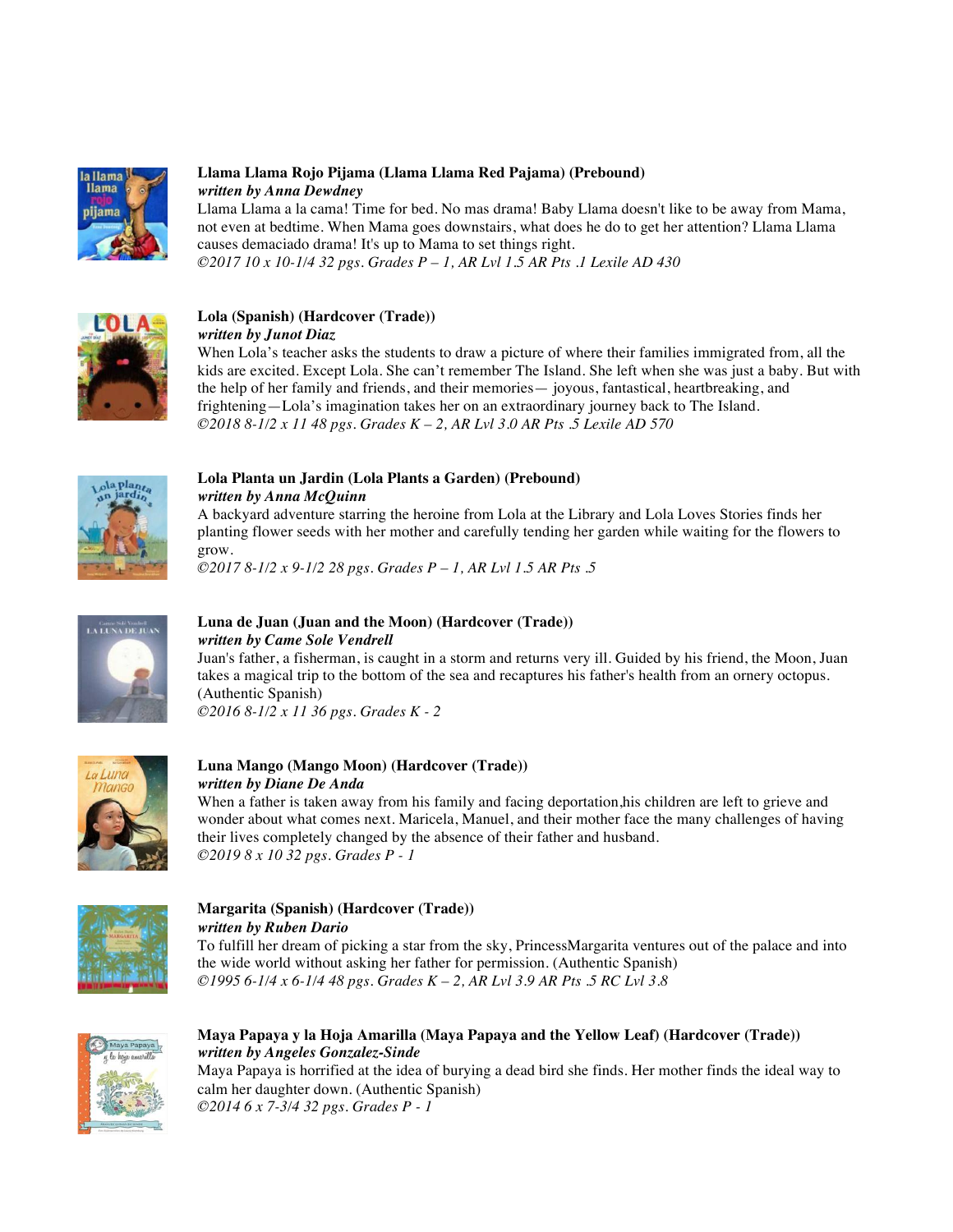

## **Llama Llama Rojo Pijama (Llama Llama Red Pajama) (Prebound)** *written by Anna Dewdney*

Llama Llama a la cama! Time for bed. No mas drama! Baby Llama doesn't like to be away from Mama, not even at bedtime. When Mama goes downstairs, what does he do to get her attention? Llama Llama causes demaciado drama! It's up to Mama to set things right. *©2017 10 x 10-1/4 32 pgs. Grades P – 1, AR Lvl 1.5 AR Pts .1 Lexile AD 430* 



## **Lola (Spanish) (Hardcover (Trade))**

*written by Junot Diaz* 

When Lola's teacher asks the students to draw a picture of where their families immigrated from, all the kids are excited. Except Lola. She can't remember The Island. She left when she was just a baby. But with the help of her family and friends, and their memories— joyous, fantastical, heartbreaking, and frightening—Lola's imagination takes her on an extraordinary journey back to The Island. *©2018 8-1/2 x 11 48 pgs. Grades K – 2, AR Lvl 3.0 AR Pts .5 Lexile AD 570* 



## **Lola Planta un Jardin (Lola Plants a Garden) (Prebound)** *written by Anna McQuinn*

A backyard adventure starring the heroine from Lola at the Library and Lola Loves Stories finds her planting flower seeds with her mother and carefully tending her garden while waiting for the flowers to grow.

*©2017 8-1/2 x 9-1/2 28 pgs. Grades P – 1, AR Lvl 1.5 AR Pts .5* 



## **Luna de Juan (Juan and the Moon) (Hardcover (Trade))** *written by Came Sole Vendrell*

Juan's father, a fisherman, is caught in a storm and returns very ill. Guided by his friend, the Moon, Juan takes a magical trip to the bottom of the sea and recaptures his father's health from an ornery octopus. (Authentic Spanish) *©2016 8-1/2 x 11 36 pgs. Grades K - 2* 



## **Luna Mango (Mango Moon) (Hardcover (Trade))** *written by Diane De Anda*

When a father is taken away from his family and facing deportation,his children are left to grieve and wonder about what comes next. Maricela, Manuel, and their mother face the many challenges of having their lives completely changed by the absence of their father and husband. *©2019 8 x 10 32 pgs. Grades P - 1* 



## **Margarita (Spanish) (Hardcover (Trade))**  *written by Ruben Dario*

To fulfill her dream of picking a star from the sky, PrincessMargarita ventures out of the palace and into the wide world without asking her father for permission. (Authentic Spanish) *©1995 6-1/4 x 6-1/4 48 pgs. Grades K – 2, AR Lvl 3.9 AR Pts .5 RC Lvl 3.8* 



## **Maya Papaya y la Hoja Amarilla (Maya Papaya and the Yellow Leaf) (Hardcover (Trade))** *written by Angeles Gonzalez-Sinde*

Maya Papaya is horrified at the idea of burying a dead bird she finds. Her mother finds the ideal way to calm her daughter down. (Authentic Spanish) *©2014 6 x 7-3/4 32 pgs. Grades P - 1*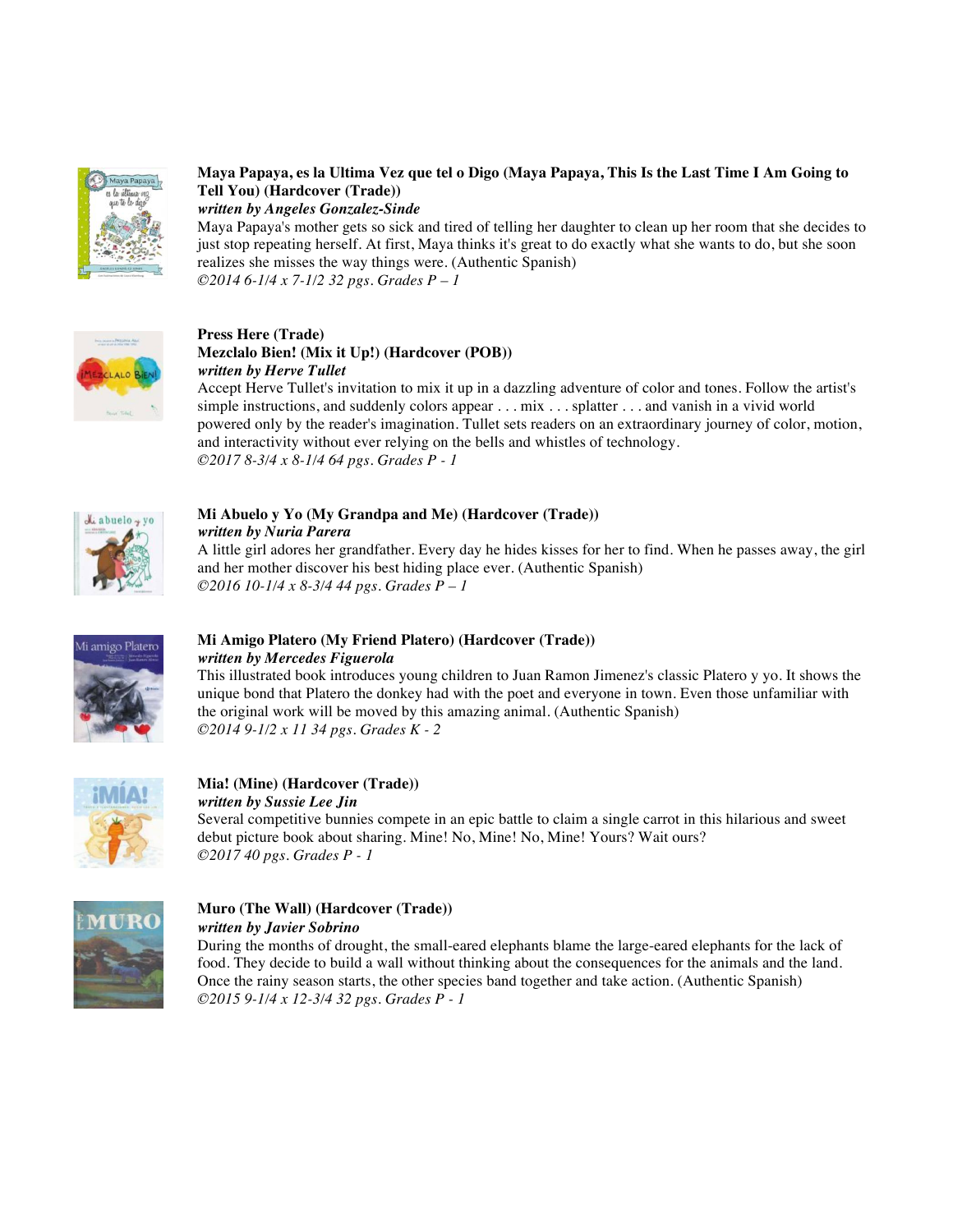

#### **Maya Papaya, es la Ultima Vez que tel o Digo (Maya Papaya, This Is the Last Time I Am Going to Tell You) (Hardcover (Trade))** *written by Angeles Gonzalez-Sinde*

Maya Papaya's mother gets so sick and tired of telling her daughter to clean up her room that she decides to just stop repeating herself. At first, Maya thinks it's great to do exactly what she wants to do, but she soon realizes she misses the way things were. (Authentic Spanish) *©2014 6-1/4 x 7-1/2 32 pgs. Grades P – 1*



#### **Press Here (Trade) Mezclalo Bien! (Mix it Up!) (Hardcover (POB))**  *written by Herve Tullet*

Accept Herve Tullet's invitation to mix it up in a dazzling adventure of color and tones. Follow the artist's simple instructions, and suddenly colors appear . . . mix . . . splatter . . . and vanish in a vivid world powered only by the reader's imagination. Tullet sets readers on an extraordinary journey of color, motion, and interactivity without ever relying on the bells and whistles of technology. *©2017 8-3/4 x 8-1/4 64 pgs. Grades P - 1* 



## **Mi Abuelo y Yo (My Grandpa and Me) (Hardcover (Trade))** *written by Nuria Parera*

A little girl adores her grandfather. Every day he hides kisses for her to find. When he passes away, the girl and her mother discover his best hiding place ever. (Authentic Spanish) *©2016 10-1/4 x 8-3/4 44 pgs. Grades P – 1*



## **Mi Amigo Platero (My Friend Platero) (Hardcover (Trade))** *written by Mercedes Figuerola*

This illustrated book introduces young children to Juan Ramon Jimenez's classic Platero y yo. It shows the unique bond that Platero the donkey had with the poet and everyone in town. Even those unfamiliar with the original work will be moved by this amazing animal. (Authentic Spanish) *©2014 9-1/2 x 11 34 pgs. Grades K - 2* 



#### **Mia! (Mine) (Hardcover (Trade))**  *written by Sussie Lee Jin*

Several competitive bunnies compete in an epic battle to claim a single carrot in this hilarious and sweet debut picture book about sharing. Mine! No, Mine! No, Mine! Yours? Wait ours? *©2017 40 pgs. Grades P - 1* 



#### **Muro (The Wall) (Hardcover (Trade))**  *written by Javier Sobrino*

During the months of drought, the small-eared elephants blame the large-eared elephants for the lack of food. They decide to build a wall without thinking about the consequences for the animals and the land. Once the rainy season starts, the other species band together and take action. (Authentic Spanish) *©2015 9-1/4 x 12-3/4 32 pgs. Grades P - 1*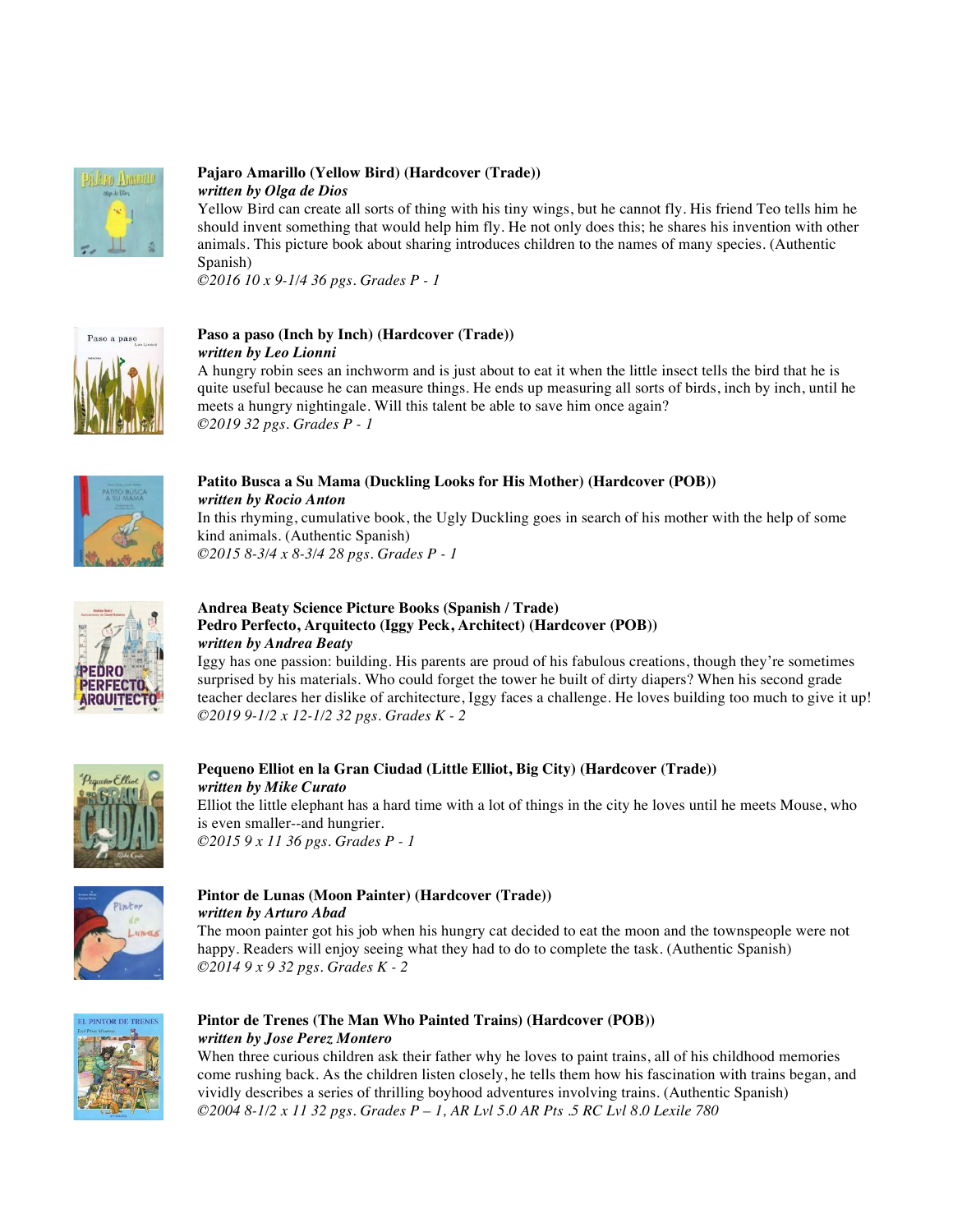

## **Pajaro Amarillo (Yellow Bird) (Hardcover (Trade))**  *written by Olga de Dios*

Yellow Bird can create all sorts of thing with his tiny wings, but he cannot fly. His friend Teo tells him he should invent something that would help him fly. He not only does this; he shares his invention with other animals. This picture book about sharing introduces children to the names of many species. (Authentic Spanish)

*©2016 10 x 9-1/4 36 pgs. Grades P - 1* 



#### **Paso a paso (Inch by Inch) (Hardcover (Trade))**  *written by Leo Lionni*

A hungry robin sees an inchworm and is just about to eat it when the little insect tells the bird that he is quite useful because he can measure things. He ends up measuring all sorts of birds, inch by inch, until he meets a hungry nightingale. Will this talent be able to save him once again? *©2019 32 pgs. Grades P - 1* 



## **Patito Busca a Su Mama (Duckling Looks for His Mother) (Hardcover (POB))**

*written by Rocio Anton* In this rhyming, cumulative book, the Ugly Duckling goes in search of his mother with the help of some kind animals. (Authentic Spanish) *©2015 8-3/4 x 8-3/4 28 pgs. Grades P - 1* 



## **Andrea Beaty Science Picture Books (Spanish / Trade) Pedro Perfecto, Arquitecto (Iggy Peck, Architect) (Hardcover (POB))** *written by Andrea Beaty*

Iggy has one passion: building. His parents are proud of his fabulous creations, though they're sometimes surprised by his materials. Who could forget the tower he built of dirty diapers? When his second grade teacher declares her dislike of architecture, Iggy faces a challenge. He loves building too much to give it up! *©2019 9-1/2 x 12-1/2 32 pgs. Grades K - 2* 



#### **Pequeno Elliot en la Gran Ciudad (Little Elliot, Big City) (Hardcover (Trade))** *written by Mike Curato* Elliot the little elephant has a hard time with a lot of things in the city he loves until he meets Mouse, who is even smaller--and hungrier. *©2015 9 x 11 36 pgs. Grades P - 1*



# **Pintor de Lunas (Moon Painter) (Hardcover (Trade))** *written by Arturo Abad*

The moon painter got his job when his hungry cat decided to eat the moon and the townspeople were not happy. Readers will enjoy seeing what they had to do to complete the task. (Authentic Spanish) *©2014 9 x 9 32 pgs. Grades K - 2* 



## **Pintor de Trenes (The Man Who Painted Trains) (Hardcover (POB))** *written by Jose Perez Montero*

When three curious children ask their father why he loves to paint trains, all of his childhood memories come rushing back. As the children listen closely, he tells them how his fascination with trains began, and vividly describes a series of thrilling boyhood adventures involving trains. (Authentic Spanish) *©2004 8-1/2 x 11 32 pgs. Grades P – 1, AR Lvl 5.0 AR Pts .5 RC Lvl 8.0 Lexile 780*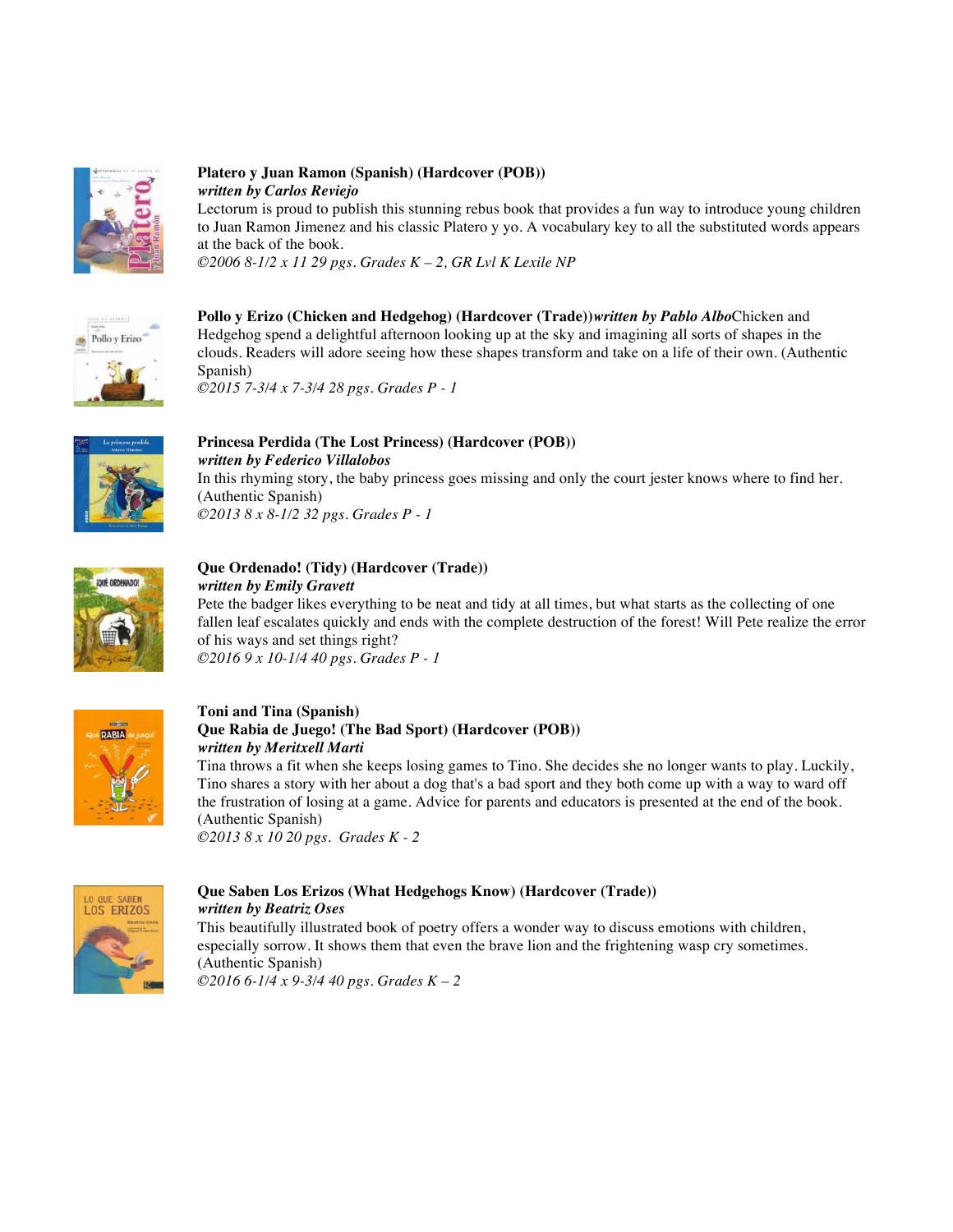

## **Platero y Juan Ramon (Spanish) (Hardcover (POB))** *written by Carlos Reviejo*

Lectorum is proud to publish this stunning rebus book that provides a fun way to introduce young children to Juan Ramon Jimenez and his classic Platero y yo. A vocabulary key to all the substituted words appears at the back of the book.

*©2006 8-1/2 x 11 29 pgs. Grades K – 2, GR Lvl K Lexile NP* 



**Pollo y Erizo (Chicken and Hedgehog) (Hardcover (Trade))***written by Pablo Albo*Chicken and Hedgehog spend a delightful afternoon looking up at the sky and imagining all sorts of shapes in the clouds. Readers will adore seeing how these shapes transform and take on a life of their own. (Authentic Spanish) *©2015 7-3/4 x 7-3/4 28 pgs. Grades P - 1* 



**Princesa Perdida (The Lost Princess) (Hardcover (POB))** *written by Federico Villalobos* In this rhyming story, the baby princess goes missing and only the court jester knows where to find her. (Authentic Spanish) *©2013 8 x 8-1/2 32 pgs. Grades P - 1* 



## **Que Ordenado! (Tidy) (Hardcover (Trade))**  *written by Emily Gravett*

Pete the badger likes everything to be neat and tidy at all times, but what starts as the collecting of one fallen leaf escalates quickly and ends with the complete destruction of the forest! Will Pete realize the error of his ways and set things right? *©2016 9 x 10-1/4 40 pgs. Grades P - 1* 



### **Toni and Tina (Spanish) Que Rabia de Juego! (The Bad Sport) (Hardcover (POB))** *written by Meritxell Marti*

Tina throws a fit when she keeps losing games to Tino. She decides she no longer wants to play. Luckily, Tino shares a story with her about a dog that's a bad sport and they both come up with a way to ward off the frustration of losing at a game. Advice for parents and educators is presented at the end of the book. (Authentic Spanish)

*©2013 8 x 10 20 pgs. Grades K - 2* 



## **Que Saben Los Erizos (What Hedgehogs Know) (Hardcover (Trade))**

*written by Beatriz Oses* This beautifully illustrated book of poetry offers a wonder way to discuss emotions with children, especially sorrow. It shows them that even the brave lion and the frightening wasp cry sometimes. (Authentic Spanish) *©2016 6-1/4 x 9-3/4 40 pgs. Grades K – 2*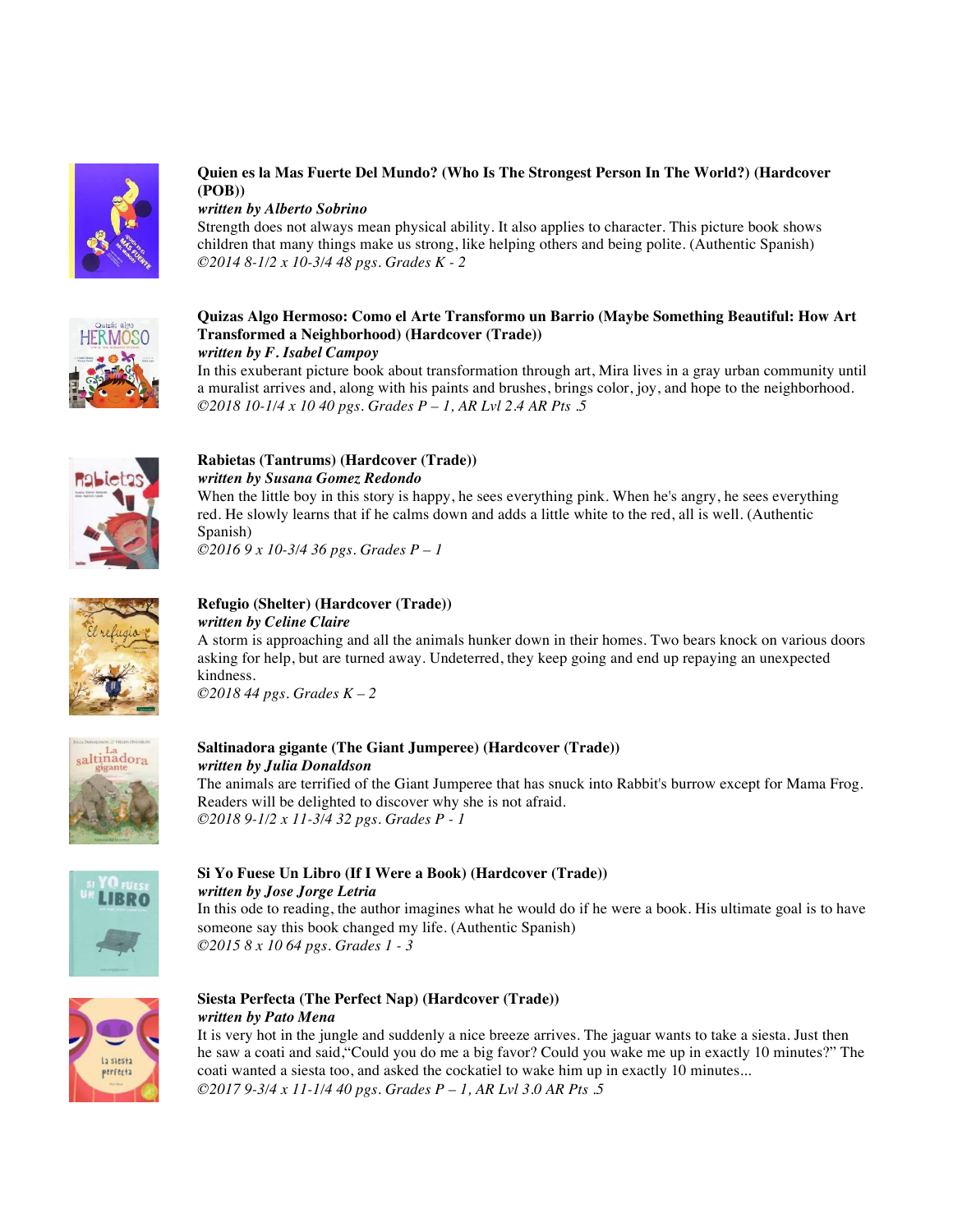

## **Quien es la Mas Fuerte Del Mundo? (Who Is The Strongest Person In The World?) (Hardcover (POB))**

*written by Alberto Sobrino*

Strength does not always mean physical ability. It also applies to character. This picture book shows children that many things make us strong, like helping others and being polite. (Authentic Spanish) *©2014 8-1/2 x 10-3/4 48 pgs. Grades K - 2* 



**Quizas Algo Hermoso: Como el Arte Transformo un Barrio (Maybe Something Beautiful: How Art Transformed a Neighborhood) (Hardcover (Trade))** *written by F. Isabel Campoy* 

In this exuberant picture book about transformation through art, Mira lives in a gray urban community until a muralist arrives and, along with his paints and brushes, brings color, joy, and hope to the neighborhood. *©2018 10-1/4 x 10 40 pgs. Grades P – 1, AR Lvl 2.4 AR Pts .5* 



## **Rabietas (Tantrums) (Hardcover (Trade))**  *written by Susana Gomez Redondo*

When the little boy in this story is happy, he sees everything pink. When he's angry, he sees everything red. He slowly learns that if he calms down and adds a little white to the red, all is well. (Authentic Spanish)

*©2016 9 x 10-3/4 36 pgs. Grades P – 1*



## **Refugio (Shelter) (Hardcover (Trade))**  *written by Celine Claire*

A storm is approaching and all the animals hunker down in their homes. Two bears knock on various doors asking for help, but are turned away. Undeterred, they keep going and end up repaying an unexpected kindness. *©2018 44 pgs. Grades K – 2*



# **Saltinadora gigante (The Giant Jumperee) (Hardcover (Trade))** *written by Julia Donaldson*

The animals are terrified of the Giant Jumperee that has snuck into Rabbit's burrow except for Mama Frog. Readers will be delighted to discover why she is not afraid. *©2018 9-1/2 x 11-3/4 32 pgs. Grades P - 1* 



## **Si Yo Fuese Un Libro (If I Were a Book) (Hardcover (Trade))** *written by Jose Jorge Letria*

In this ode to reading, the author imagines what he would do if he were a book. His ultimate goal is to have someone say this book changed my life. (Authentic Spanish) *©2015 8 x 10 64 pgs. Grades 1 - 3* 



## **Siesta Perfecta (The Perfect Nap) (Hardcover (Trade))** *written by Pato Mena*

It is very hot in the jungle and suddenly a nice breeze arrives. The jaguar wants to take a siesta. Just then he saw a coati and said,"Could you do me a big favor? Could you wake me up in exactly 10 minutes?" The coati wanted a siesta too, and asked the cockatiel to wake him up in exactly 10 minutes... *©2017 9-3/4 x 11-1/4 40 pgs. Grades P – 1, AR Lvl 3.0 AR Pts .5*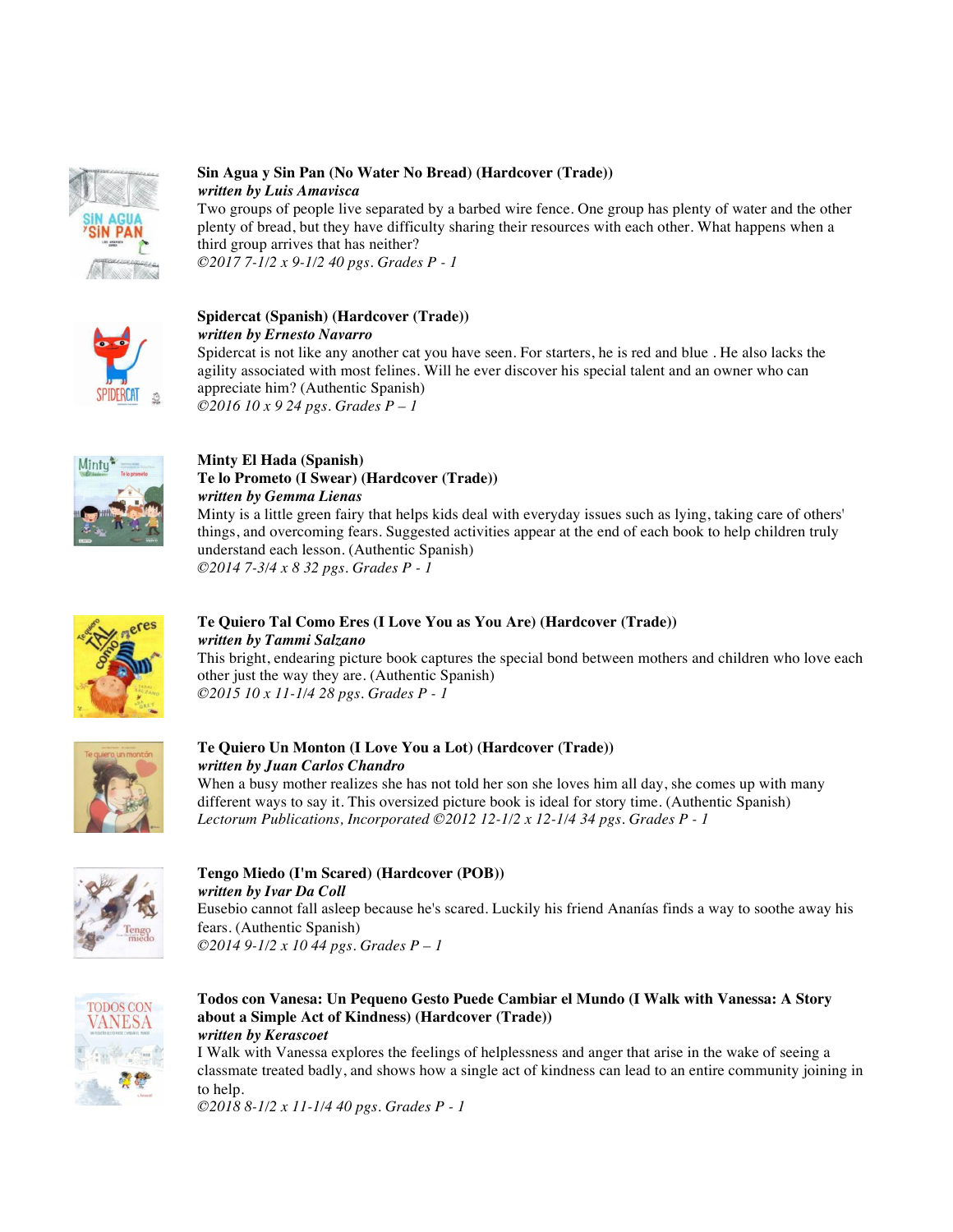

### **Sin Agua y Sin Pan (No Water No Bread) (Hardcover (Trade))** *written by Luis Amavisca*

Two groups of people live separated by a barbed wire fence. One group has plenty of water and the other plenty of bread, but they have difficulty sharing their resources with each other. What happens when a third group arrives that has neither? *©2017 7-1/2 x 9-1/2 40 pgs. Grades P - 1* 



#### **Spidercat (Spanish) (Hardcover (Trade))**  *written by Ernesto Navarro*

Spidercat is not like any another cat you have seen. For starters, he is red and blue . He also lacks the agility associated with most felines. Will he ever discover his special talent and an owner who can appreciate him? (Authentic Spanish) *©2016 10 x 9 24 pgs. Grades P – 1*



## **Minty El Hada (Spanish) Te lo Prometo (I Swear) (Hardcover (Trade))**  *written by Gemma Lienas*

Minty is a little green fairy that helps kids deal with everyday issues such as lying, taking care of others' things, and overcoming fears. Suggested activities appear at the end of each book to help children truly understand each lesson. (Authentic Spanish) *©2014 7-3/4 x 8 32 pgs. Grades P - 1* 



## **Te Quiero Tal Como Eres (I Love You as You Are) (Hardcover (Trade))** *written by Tammi Salzano*

This bright, endearing picture book captures the special bond between mothers and children who love each other just the way they are. (Authentic Spanish) *©2015 10 x 11-1/4 28 pgs. Grades P - 1* 



# **Te Quiero Un Monton (I Love You a Lot) (Hardcover (Trade))**  *written by Juan Carlos Chandro*

When a busy mother realizes she has not told her son she loves him all day, she comes up with many different ways to say it. This oversized picture book is ideal for story time. (Authentic Spanish) *Lectorum Publications, Incorporated ©2012 12-1/2 x 12-1/4 34 pgs. Grades P - 1* 



## **Tengo Miedo (I'm Scared) (Hardcover (POB))**  *written by Ivar Da Coll*

Eusebio cannot fall asleep because he's scared. Luckily his friend Ananías finds a way to soothe away his fears. (Authentic Spanish) *©2014 9-1/2 x 10 44 pgs. Grades P – 1*



#### **Todos con Vanesa: Un Pequeno Gesto Puede Cambiar el Mundo (I Walk with Vanessa: A Story about a Simple Act of Kindness) (Hardcover (Trade))** *written by Kerascoet*

I Walk with Vanessa explores the feelings of helplessness and anger that arise in the wake of seeing a classmate treated badly, and shows how a single act of kindness can lead to an entire community joining in to help.

*©2018 8-1/2 x 11-1/4 40 pgs. Grades P - 1*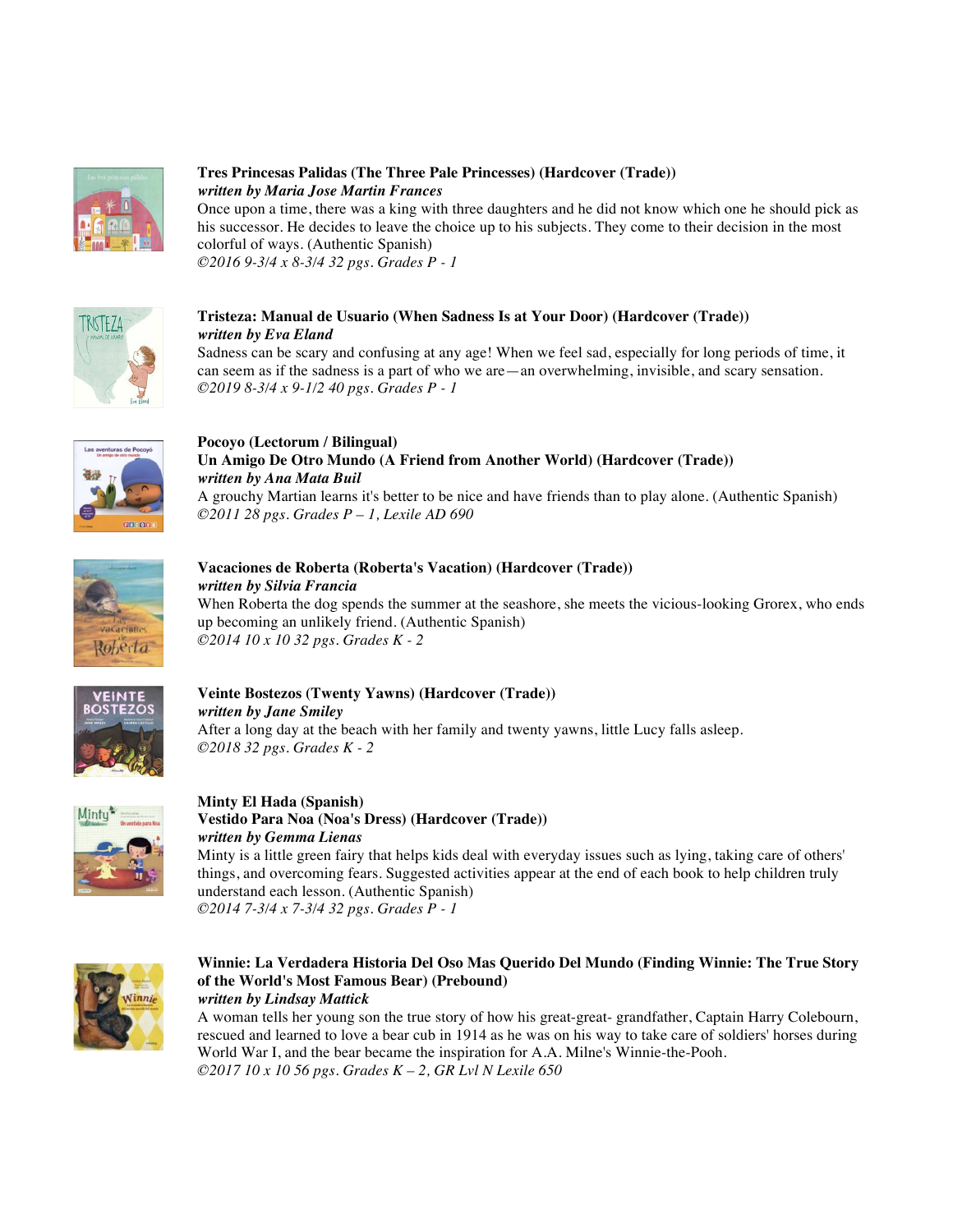

## **Tres Princesas Palidas (The Three Pale Princesses) (Hardcover (Trade))** *written by Maria Jose Martin Frances*

Once upon a time, there was a king with three daughters and he did not know which one he should pick as his successor. He decides to leave the choice up to his subjects. They come to their decision in the most colorful of ways. (Authentic Spanish) *©2016 9-3/4 x 8-3/4 32 pgs. Grades P - 1* 



## **Tristeza: Manual de Usuario (When Sadness Is at Your Door) (Hardcover (Trade))** *written by Eva Eland*

Sadness can be scary and confusing at any age! When we feel sad, especially for long periods of time, it can seem as if the sadness is a part of who we are—an overwhelming, invisible, and scary sensation. *©2019 8-3/4 x 9-1/2 40 pgs. Grades P - 1* 



## **Pocoyo (Lectorum / Bilingual) Un Amigo De Otro Mundo (A Friend from Another World) (Hardcover (Trade))** *written by Ana Mata Buil*

A grouchy Martian learns it's better to be nice and have friends than to play alone. (Authentic Spanish) *©2011 28 pgs. Grades P – 1, Lexile AD 690* 



# **Vacaciones de Roberta (Roberta's Vacation) (Hardcover (Trade))** *written by Silvia Francia*

When Roberta the dog spends the summer at the seashore, she meets the vicious-looking Grorex, who ends up becoming an unlikely friend. (Authentic Spanish) *©2014 10 x 10 32 pgs. Grades K - 2* 



### **Veinte Bostezos (Twenty Yawns) (Hardcover (Trade))** *written by Jane Smiley* After a long day at the beach with her family and twenty yawns, little Lucy falls asleep. *©2018 32 pgs. Grades K - 2*



### **Minty El Hada (Spanish) Vestido Para Noa (Noa's Dress) (Hardcover (Trade))**

*written by Gemma Lienas*  Minty is a little green fairy that helps kids deal with everyday issues such as lying, taking care of others' things, and overcoming fears. Suggested activities appear at the end of each book to help children truly understand each lesson. (Authentic Spanish) *©2014 7-3/4 x 7-3/4 32 pgs. Grades P - 1* 



## **Winnie: La Verdadera Historia Del Oso Mas Querido Del Mundo (Finding Winnie: The True Story of the World's Most Famous Bear) (Prebound)**

*written by Lindsay Mattick* 

A woman tells her young son the true story of how his great-great- grandfather, Captain Harry Colebourn, rescued and learned to love a bear cub in 1914 as he was on his way to take care of soldiers' horses during World War I, and the bear became the inspiration for A.A. Milne's Winnie-the-Pooh. *©2017 10 x 10 56 pgs. Grades K – 2, GR Lvl N Lexile 650*